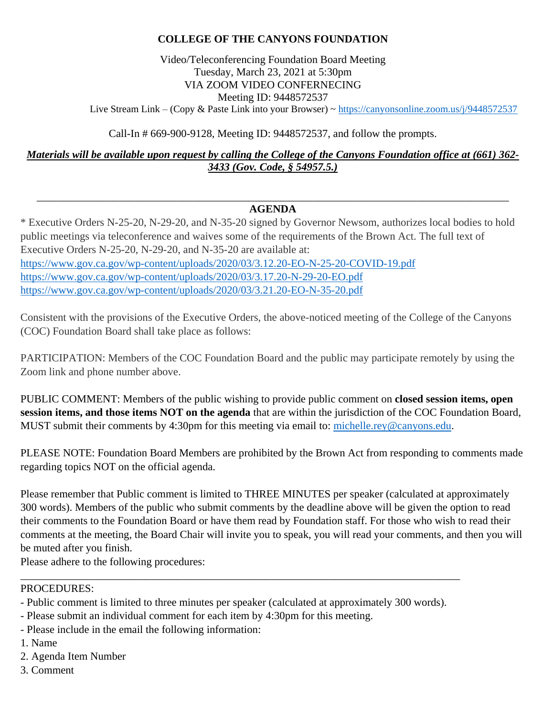### **COLLEGE OF THE CANYONS FOUNDATION**

Video/Teleconferencing Foundation Board Meeting Tuesday, March 23, 2021 at 5:30pm VIA ZOOM VIDEO CONFERNECING Meeting ID: 9448572537

Live Stream Link – (Copy & Paste Link into your Browser) ~ <https://canyonsonline.zoom.us/j/9448572537>

Call-In # 669-900-9128, Meeting ID: 9448572537, and follow the prompts.

*Materials will be available upon request by calling the College of the Canyons Foundation office at (661) 362- 3433 (Gov. Code, § 54957.5.)*

#### \_\_\_\_\_\_\_\_\_\_\_\_\_\_\_\_\_\_\_\_\_\_\_\_\_\_\_\_\_\_\_\_\_\_\_\_\_\_\_\_\_\_\_\_\_\_\_\_\_\_\_\_\_\_\_\_\_\_\_\_\_\_\_\_\_\_\_\_\_\_\_\_\_\_\_\_\_\_\_\_\_\_\_\_\_\_\_ **AGENDA**

\* Executive Orders N-25-20, N-29-20, and N-35-20 signed by Governor Newsom, authorizes local bodies to hold public meetings via teleconference and waives some of the requirements of the Brown Act. The full text of Executive Orders N-25-20, N-29-20, and N-35-20 are available at: <https://www.gov.ca.gov/wp-content/uploads/2020/03/3.12.20-EO-N-25-20-COVID-19.pdf> <https://www.gov.ca.gov/wp-content/uploads/2020/03/3.17.20-N-29-20-EO.pdf> <https://www.gov.ca.gov/wp-content/uploads/2020/03/3.21.20-EO-N-35-20.pdf>

Consistent with the provisions of the Executive Orders, the above-noticed meeting of the College of the Canyons (COC) Foundation Board shall take place as follows:

PARTICIPATION: Members of the COC Foundation Board and the public may participate remotely by using the Zoom link and phone number above.

PUBLIC COMMENT: Members of the public wishing to provide public comment on **closed session items, open session items, and those items NOT on the agenda** that are within the jurisdiction of the COC Foundation Board, MUST submit their comments by 4:30pm for this meeting via email to: [michelle.rey@canyons.edu.](mailto:michelle.rey@canyons.edu)

PLEASE NOTE: Foundation Board Members are prohibited by the Brown Act from responding to comments made regarding topics NOT on the official agenda.

Please remember that Public comment is limited to THREE MINUTES per speaker (calculated at approximately 300 words). Members of the public who submit comments by the deadline above will be given the option to read their comments to the Foundation Board or have them read by Foundation staff. For those who wish to read their comments at the meeting, the Board Chair will invite you to speak, you will read your comments, and then you will be muted after you finish.

Please adhere to the following procedures:

#### PROCEDURES:

- Public comment is limited to three minutes per speaker (calculated at approximately 300 words).

\_\_\_\_\_\_\_\_\_\_\_\_\_\_\_\_\_\_\_\_\_\_\_\_\_\_\_\_\_\_\_\_\_\_\_\_\_\_\_\_\_\_\_\_\_\_\_\_\_\_\_\_\_\_\_\_\_\_\_\_\_\_\_\_\_\_\_\_\_\_\_\_\_\_\_\_\_\_\_\_\_

- Please submit an individual comment for each item by 4:30pm for this meeting.
- Please include in the email the following information:
- 1. Name
- 2. Agenda Item Number
- 3. Comment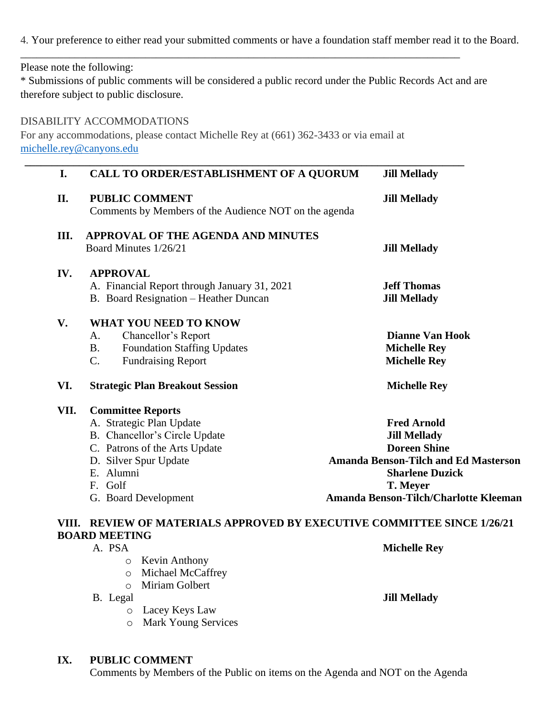4. Your preference to either read your submitted comments or have a foundation staff member read it to the Board.

Please note the following:

\* Submissions of public comments will be considered a public record under the Public Records Act and are therefore subject to public disclosure.

\_\_\_\_\_\_\_\_\_\_\_\_\_\_\_\_\_\_\_\_\_\_\_\_\_\_\_\_\_\_\_\_\_\_\_\_\_\_\_\_\_\_\_\_\_\_\_\_\_\_\_\_\_\_\_\_\_\_\_\_\_\_\_\_\_\_\_\_\_\_\_\_\_\_\_\_\_\_\_\_\_

#### DISABILITY ACCOMMODATIONS

For any accommodations, please contact Michelle Rey at (661) 362-3433 or via email at [michelle.rey@canyons.edu](mailto:michelle.rey@canyons.edu)

| I.   | <b>CALL TO ORDER/ESTABLISHMENT OF A QUORUM</b>                                 | <b>Jill Mellady</b>                         |
|------|--------------------------------------------------------------------------------|---------------------------------------------|
| II.  | <b>PUBLIC COMMENT</b><br>Comments by Members of the Audience NOT on the agenda | <b>Jill Mellady</b>                         |
| Ш.   | <b>APPROVAL OF THE AGENDA AND MINUTES</b><br>Board Minutes 1/26/21             |                                             |
|      |                                                                                | <b>Jill Mellady</b>                         |
| IV.  | <b>APPROVAL</b>                                                                |                                             |
|      | A. Financial Report through January 31, 2021                                   | <b>Jeff Thomas</b>                          |
|      | B. Board Resignation - Heather Duncan                                          | <b>Jill Mellady</b>                         |
| V.   | <b>WHAT YOU NEED TO KNOW</b>                                                   |                                             |
|      | Chancellor's Report<br>A.                                                      | <b>Dianne Van Hook</b>                      |
|      | <b>Foundation Staffing Updates</b><br><b>B.</b>                                | <b>Michelle Rey</b>                         |
|      | <b>Fundraising Report</b><br>C.                                                | <b>Michelle Rey</b>                         |
| VI.  | <b>Strategic Plan Breakout Session</b>                                         | <b>Michelle Rey</b>                         |
| VII. | <b>Committee Reports</b>                                                       |                                             |
|      | A. Strategic Plan Update                                                       | <b>Fred Arnold</b>                          |
|      | B. Chancellor's Circle Update                                                  | <b>Jill Mellady</b>                         |
|      | C. Patrons of the Arts Update                                                  | <b>Doreen Shine</b>                         |
|      | D. Silver Spur Update                                                          | <b>Amanda Benson-Tilch and Ed Masterson</b> |
|      | E. Alumni                                                                      | <b>Sharlene Duzick</b>                      |
|      | F. Golf                                                                        | T. Meyer                                    |
|      | G. Board Development                                                           | Amanda Benson-Tilch/Charlotte Kleeman       |
|      | VIII. REVIEW OF MATERIALS APPROVED BY EXECUTIVE COMMITTEE SINCE 1/26/21        |                                             |
|      | <b>BOARD MEETING</b>                                                           |                                             |
|      | A. PSA                                                                         | <b>Michelle Rey</b>                         |
|      | <b>Kevin Anthony</b><br>O                                                      |                                             |

- o Michael McCaffrey
- o Miriam Golbert
- - o Lacey Keys Law
	- o Mark Young Services

#### **IX. PUBLIC COMMENT**

Comments by Members of the Public on items on the Agenda and NOT on the Agenda

B. Legal **Jill Mellady**